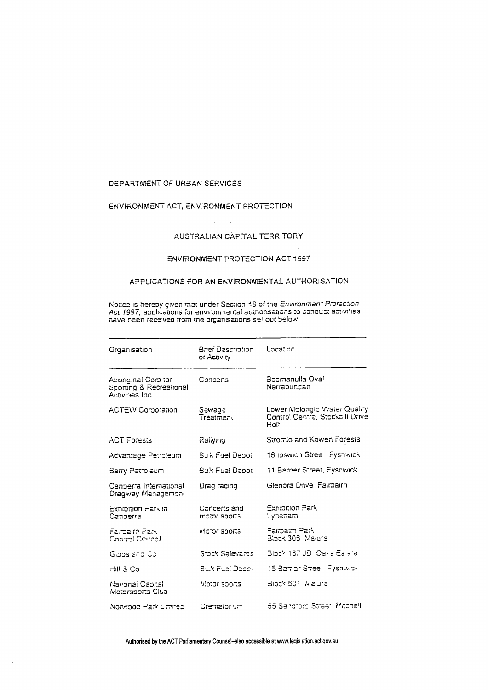# DEPARTMENT OF URBAN SERVICES

# ENVIRONMENT ACT, ENVIRONMENT PROTECTION

### AUSTRALIAN CAPITAL TERRITORY

# ENVIRONMENT PROTECTION ACT 1997

#### APPLICATIONS FOR AN ENVIRONMENTAL AUTHORISATION

Notice is hereby given that under Section 48 of the *Environmen\* Prorection*<br>Act 1997, applications for environmental authorisations to conduct activities<br>nave been received from the organisations ser out below

| Organisation                                                      | Brief Description<br>or Activity | Location                                                                 |
|-------------------------------------------------------------------|----------------------------------|--------------------------------------------------------------------------|
| Aporiginal Corp tor<br>Sporting & Recreational<br>Activities Inc. | Concerts                         | Boomanulla Oval<br>Narrapungan                                           |
| <b>ACTEW Corporation</b>                                          | Sewage<br>Treatmen∈              | Lower Molongio Vvater Quality<br>Control Centre, Stockaill Drive<br>Holt |
| <b>ACT Forests</b>                                                | Rallying                         | Stromlo and Kowen Forests                                                |
| Advantage Petroleum                                               | Sulk Fuel Depot                  | 16 Ipswich Stree Fyshwick                                                |
| Barry Petroleum                                                   | <b>Bulk Fuel Depot</b>           | 11 Sarrier Street, Fysnwick                                              |
| Canperra International<br>Dragway Managemen                       | Drag racing                      | Glenora Drive Fairpairn                                                  |
| Explorion Park in<br>Canberra                                     | Concerts and<br>motor sports     | Exnipition Park<br>Lynenam                                               |
| Falmain Park<br>Control Council                                   | Motor sports.                    | Faimain Park<br>Block 306 Maiura                                         |
| Gibos and Co                                                      | Stock Salevards                  | Block 137 JD, Oaks Estate                                                |
| Hill & Co                                                         | Buik Fuel Depor                  | 15 Barrier Stree Fyshwic-                                                |
| National Capital.<br>Motorsports Club                             | Motor sports.                    | Block 601, Majura                                                        |
| Norwood Park Limred                                               | Cremator um                      | 65 Sandrord Street, Micchell                                             |

Authorised by the ACT Parliamentary Counsel-also accessible at www.legislation.act.gov.au